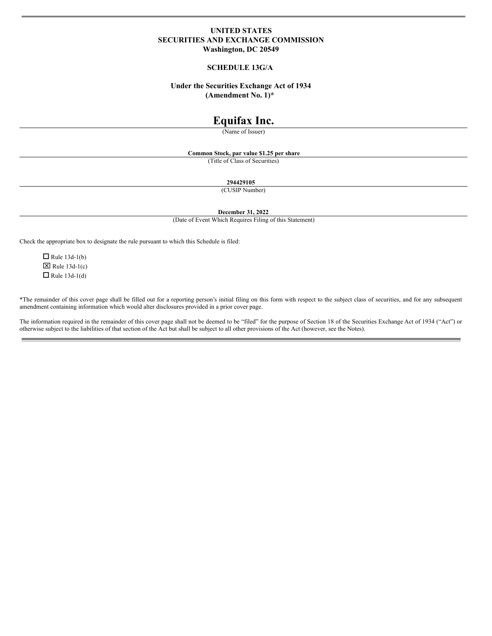# **UNITED STATES SECURITIES AND EXCHANGE COMMISSION Washington, DC 20549**

# **SCHEDULE 13G/A**

# **Under the Securities Exchange Act of 1934 (Amendment No. 1)\***

# **Equifax Inc.**

(Name of Issuer)

**Common Stock, par value \$1.25 per share**

(Title of Class of Securities)

**294429105**

(CUSIP Number)

**December 31, 2022**

(Date of Event Which Requires Filing of this Statement)

Check the appropriate box to designate the rule pursuant to which this Schedule is filed:

 $\Box$  Rule 13d-1(b)  $\boxtimes$  Rule 13d-1(c)  $\Box$  Rule 13d-1(d)

\*The remainder of this cover page shall be filled out for a reporting person's initial filing on this form with respect to the subject class of securities, and for any subsequent amendment containing information which would alter disclosures provided in a prior cover page.

The information required in the remainder of this cover page shall not be deemed to be "filed" for the purpose of Section 18 of the Securities Exchange Act of 1934 ("Act") or otherwise subject to the liabilities of that section of the Act but shall be subject to all other provisions of the Act (however, see the Notes).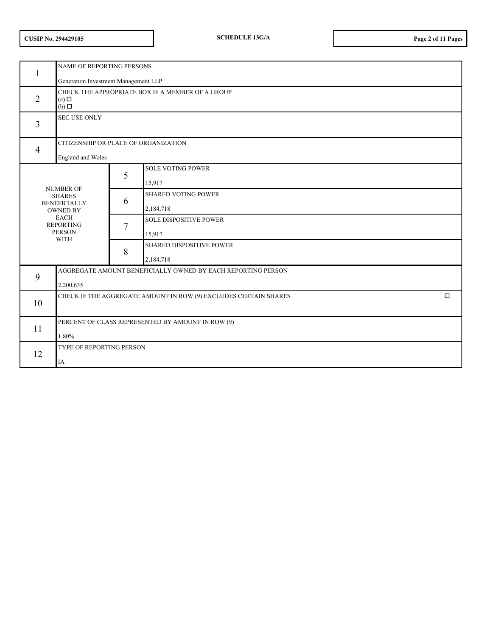|  | <b>CUSIP No. 294429105</b> |
|--|----------------------------|
|--|----------------------------|

| $\mathbf{1}$   | NAME OF REPORTING PERSONS                                                              |                                      |                                                              |  |  |
|----------------|----------------------------------------------------------------------------------------|--------------------------------------|--------------------------------------------------------------|--|--|
|                |                                                                                        | Generation Investment Management LLP |                                                              |  |  |
| $\overline{2}$ | CHECK THE APPROPRIATE BOX IF A MEMBER OF A GROUP<br>$(a)$ $\square$<br>$(b)$ $\square$ |                                      |                                                              |  |  |
| $\overline{3}$ | <b>SEC USE ONLY</b>                                                                    |                                      |                                                              |  |  |
|                |                                                                                        | CITIZENSHIP OR PLACE OF ORGANIZATION |                                                              |  |  |
| $\overline{4}$ | <b>England</b> and Wales                                                               |                                      |                                                              |  |  |
|                |                                                                                        |                                      | <b>SOLE VOTING POWER</b>                                     |  |  |
|                |                                                                                        | 5                                    | 15,917                                                       |  |  |
|                | <b>NUMBER OF</b><br><b>SHARES</b>                                                      |                                      | <b>SHARED VOTING POWER</b>                                   |  |  |
|                | <b>BENEFICIALLY</b><br><b>OWNED BY</b>                                                 | 6                                    | 2,184,718                                                    |  |  |
|                | <b>EACH</b><br><b>REPORTING</b>                                                        | $\overline{7}$<br>8                  | <b>SOLE DISPOSITIVE POWER</b>                                |  |  |
|                | <b>PERSON</b>                                                                          |                                      | 15,917                                                       |  |  |
|                | <b>WITH</b>                                                                            |                                      | SHARED DISPOSITIVE POWER                                     |  |  |
|                |                                                                                        |                                      | 2,184,718                                                    |  |  |
| 9              |                                                                                        |                                      | AGGREGATE AMOUNT BENEFICIALLY OWNED BY EACH REPORTING PERSON |  |  |
|                | 2,200,635                                                                              |                                      |                                                              |  |  |
| 10             | CHECK IF THE AGGREGATE AMOUNT IN ROW (9) EXCLUDES CERTAIN SHARES<br>$\Box$             |                                      |                                                              |  |  |
|                |                                                                                        |                                      |                                                              |  |  |
| 11             | PERCENT OF CLASS REPRESENTED BY AMOUNT IN ROW (9)                                      |                                      |                                                              |  |  |
|                | 1.80%                                                                                  |                                      |                                                              |  |  |
| 12             | TYPE OF REPORTING PERSON                                                               |                                      |                                                              |  |  |
|                | IA                                                                                     |                                      |                                                              |  |  |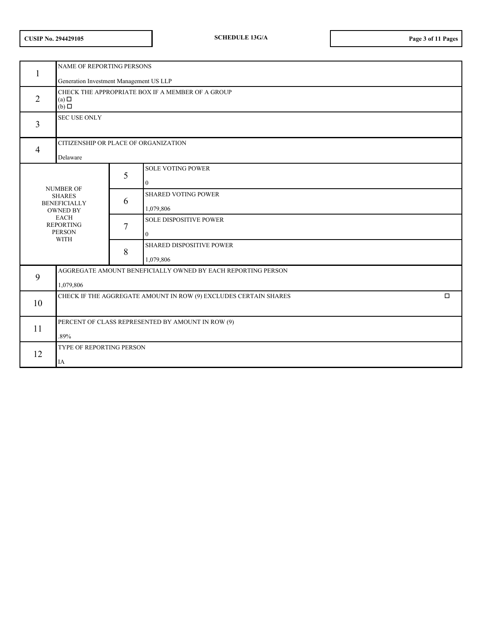|  | <b>CUSIP No. 294429105</b> |
|--|----------------------------|
|--|----------------------------|

| 1              | NAME OF REPORTING PERSONS                                                                                                       |                                         |                                               |  |  |
|----------------|---------------------------------------------------------------------------------------------------------------------------------|-----------------------------------------|-----------------------------------------------|--|--|
|                |                                                                                                                                 | Generation Investment Management US LLP |                                               |  |  |
| $\overline{2}$ | CHECK THE APPROPRIATE BOX IF A MEMBER OF A GROUP<br>$(a)$ $\square$<br>$(b)$ $\square$                                          |                                         |                                               |  |  |
| 3              | <b>SEC USE ONLY</b>                                                                                                             |                                         |                                               |  |  |
|                |                                                                                                                                 |                                         | CITIZENSHIP OR PLACE OF ORGANIZATION          |  |  |
| $\overline{4}$ | Delaware                                                                                                                        |                                         |                                               |  |  |
|                |                                                                                                                                 | 5                                       | <b>SOLE VOTING POWER</b><br>$\mathbf{0}$      |  |  |
|                | <b>NUMBER OF</b><br><b>SHARES</b><br><b>BENEFICIALLY</b><br><b>OWNED BY</b><br><b>EACH</b><br><b>REPORTING</b><br><b>PERSON</b> |                                         | <b>SHARED VOTING POWER</b><br>1,079,806       |  |  |
|                |                                                                                                                                 |                                         | <b>SOLE DISPOSITIVE POWER</b><br>$\mathbf{0}$ |  |  |
| <b>WITH</b>    |                                                                                                                                 | 8                                       | SHARED DISPOSITIVE POWER<br>1,079,806         |  |  |
| 9              | AGGREGATE AMOUNT BENEFICIALLY OWNED BY EACH REPORTING PERSON<br>1,079,806                                                       |                                         |                                               |  |  |
| 10             | CHECK IF THE AGGREGATE AMOUNT IN ROW (9) EXCLUDES CERTAIN SHARES<br>$\Box$                                                      |                                         |                                               |  |  |
| 11             | PERCENT OF CLASS REPRESENTED BY AMOUNT IN ROW (9)<br>.89%                                                                       |                                         |                                               |  |  |
| 12             | TYPE OF REPORTING PERSON<br>IA                                                                                                  |                                         |                                               |  |  |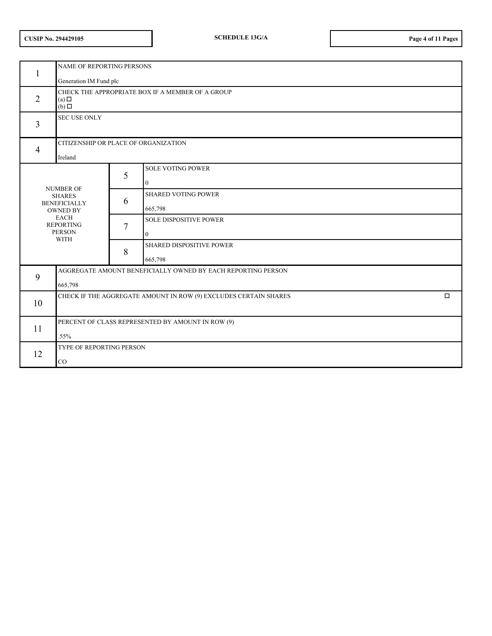|  | <b>CUSIP No. 294429105</b> |
|--|----------------------------|
|--|----------------------------|

| 1              | NAME OF REPORTING PERSONS                                                                                                       |   |                                                 |  |
|----------------|---------------------------------------------------------------------------------------------------------------------------------|---|-------------------------------------------------|--|
| $\overline{2}$ | Generation IM Fund plc<br>CHECK THE APPROPRIATE BOX IF A MEMBER OF A GROUP<br>$(a)$ $\square$<br>$(b)$ $\square$                |   |                                                 |  |
| 3              | <b>SEC USE ONLY</b>                                                                                                             |   |                                                 |  |
| $\overline{4}$ | CITIZENSHIP OR PLACE OF ORGANIZATION<br>Ireland                                                                                 |   |                                                 |  |
|                |                                                                                                                                 | 5 | <b>SOLE VOTING POWER</b><br>$\mathbf{0}$        |  |
|                | <b>NUMBER OF</b><br><b>SHARES</b><br><b>BENEFICIALLY</b><br><b>OWNED BY</b><br><b>EACH</b><br><b>REPORTING</b><br><b>PERSON</b> |   | <b>SHARED VOTING POWER</b><br>665,798           |  |
|                |                                                                                                                                 |   | <b>SOLE DISPOSITIVE POWER</b><br>$\overline{0}$ |  |
| <b>WITH</b>    |                                                                                                                                 | 8 | SHARED DISPOSITIVE POWER<br>665,798             |  |
| 9              | AGGREGATE AMOUNT BENEFICIALLY OWNED BY EACH REPORTING PERSON<br>665,798                                                         |   |                                                 |  |
| 10             | CHECK IF THE AGGREGATE AMOUNT IN ROW (9) EXCLUDES CERTAIN SHARES<br>$\Box$                                                      |   |                                                 |  |
| 11             | PERCENT OF CLASS REPRESENTED BY AMOUNT IN ROW (9)<br>.55%                                                                       |   |                                                 |  |
| 12             | TYPE OF REPORTING PERSON<br>CO                                                                                                  |   |                                                 |  |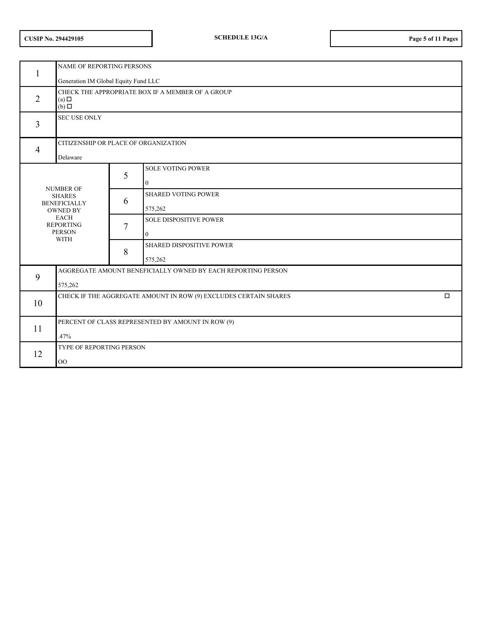| <b>CUSIP No. 294429105</b> |  |
|----------------------------|--|
|----------------------------|--|

| 1                                                               | NAME OF REPORTING PERSONS                                                              |                                      |                                               |  |  |
|-----------------------------------------------------------------|----------------------------------------------------------------------------------------|--------------------------------------|-----------------------------------------------|--|--|
|                                                                 |                                                                                        | Generation IM Global Equity Fund LLC |                                               |  |  |
| 2                                                               | CHECK THE APPROPRIATE BOX IF A MEMBER OF A GROUP<br>$(a)$ $\square$<br>$(b)$ $\square$ |                                      |                                               |  |  |
| 3                                                               | <b>SEC USE ONLY</b>                                                                    |                                      |                                               |  |  |
|                                                                 |                                                                                        |                                      | CITIZENSHIP OR PLACE OF ORGANIZATION          |  |  |
| $\overline{4}$                                                  | Delaware                                                                               |                                      |                                               |  |  |
|                                                                 |                                                                                        | 5                                    | <b>SOLE VOTING POWER</b><br>$\overline{0}$    |  |  |
|                                                                 | <b>NUMBER OF</b><br><b>SHARES</b><br><b>BENEFICIALLY</b><br><b>OWNED BY</b>            |                                      | <b>SHARED VOTING POWER</b><br>575,262         |  |  |
| <b>EACH</b><br><b>REPORTING</b><br><b>PERSON</b><br><b>WITH</b> |                                                                                        | 7                                    | <b>SOLE DISPOSITIVE POWER</b><br>$\mathbf{0}$ |  |  |
|                                                                 |                                                                                        | 8                                    | SHARED DISPOSITIVE POWER<br>575,262           |  |  |
| AGGREGATE AMOUNT BENEFICIALLY OWNED BY EACH REPORTING PERSON    |                                                                                        |                                      |                                               |  |  |
| 9                                                               | 575,262                                                                                |                                      |                                               |  |  |
| 10                                                              | CHECK IF THE AGGREGATE AMOUNT IN ROW (9) EXCLUDES CERTAIN SHARES<br>$\Box$             |                                      |                                               |  |  |
| 11                                                              | PERCENT OF CLASS REPRESENTED BY AMOUNT IN ROW (9)<br>.47%                              |                                      |                                               |  |  |
| 12                                                              | TYPE OF REPORTING PERSON<br>O <sub>O</sub>                                             |                                      |                                               |  |  |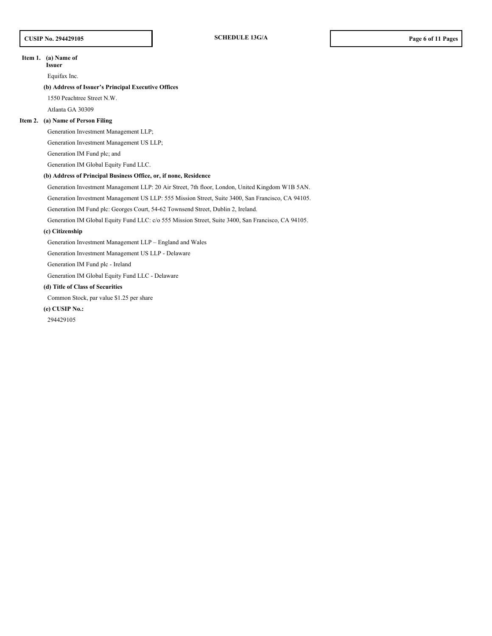### **Item 1. (a) Name of**

**Issuer**

Equifax Inc.

# **(b) Address of Issuer's Principal Executive Offices**

1550 Peachtree Street N.W.

Atlanta GA 30309

### **Item 2. (a) Name of Person Filing**

Generation Investment Management LLP;

Generation Investment Management US LLP;

Generation IM Fund plc; and

Generation IM Global Equity Fund LLC.

# **(b) Address of Principal Business Office, or, if none, Residence**

Generation Investment Management LLP: 20 Air Street, 7th floor, London, United Kingdom W1B 5AN.

Generation Investment Management US LLP: 555 Mission Street, Suite 3400, San Francisco, CA 94105.

Generation IM Fund plc: Georges Court, 54-62 Townsend Street, Dublin 2, Ireland.

Generation IM Global Equity Fund LLC: c/o 555 Mission Street, Suite 3400, San Francisco, CA 94105.

### **(c) Citizenship**

Generation Investment Management LLP – England and Wales

Generation Investment Management US LLP - Delaware

Generation IM Fund plc - Ireland

Generation IM Global Equity Fund LLC - Delaware

# **(d) Title of Class of Securities**

Common Stock, par value \$1.25 per share

# **(e) CUSIP No.:**

294429105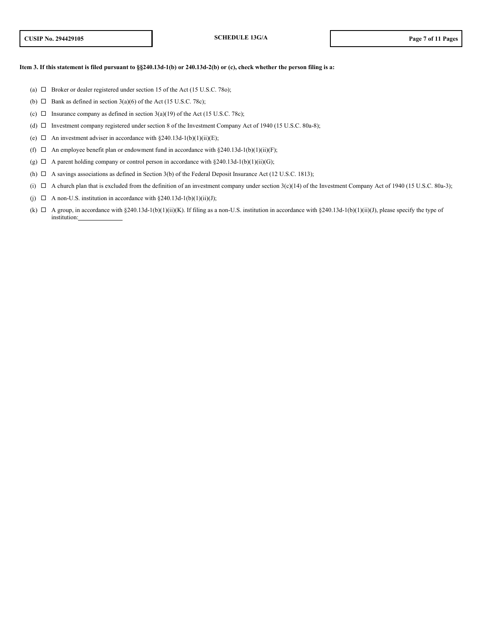### Item 3. If this statement is filed pursuant to §§240.13d-1(b) or 240.13d-2(b) or (c), check whether the person filing is a:

- (a)  $\Box$  Broker or dealer registered under section 15 of the Act (15 U.S.C. 78o);
- (b)  $\Box$  Bank as defined in section 3(a)(6) of the Act (15 U.S.C. 78c);
- (c)  $\Box$  Insurance company as defined in section 3(a)(19) of the Act (15 U.S.C. 78c);
- (d)  $\Box$  Investment company registered under section 8 of the Investment Company Act of 1940 (15 U.S.C. 80a-8);
- (e)  $\Box$  An investment adviser in accordance with §240.13d-1(b)(1)(ii)(E);
- (f)  $\Box$  An employee benefit plan or endowment fund in accordance with §240.13d-1(b)(1)(ii)(F);
- (g)  $\Box$  A parent holding company or control person in accordance with §240.13d-1(b)(1)(ii)(G);
- (h)  $\Box$  A savings associations as defined in Section 3(b) of the Federal Deposit Insurance Act (12 U.S.C. 1813);
- (i)  $\Box$  A church plan that is excluded from the definition of an investment company under section 3(c)(14) of the Investment Company Act of 1940 (15 U.S.C. 80a-3);
- (j)  $\Box$  A non-U.S. institution in accordance with §240.13d-1(b)(1)(ii)(J);
- (k)  $\Box$  A group, in accordance with §240.13d-1(b)(1)(ii)(K). If filing as a non-U.S. institution in accordance with §240.13d-1(b)(1)(ii)(J), please specify the type of institution: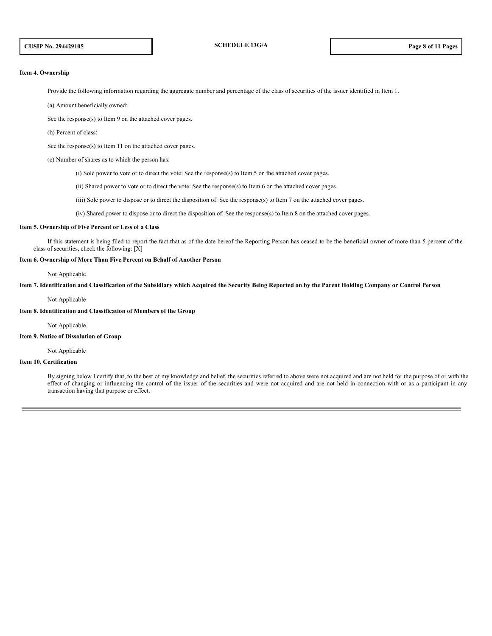#### **Item 4. Ownership**

Provide the following information regarding the aggregate number and percentage of the class of securities of the issuer identified in Item 1.

(a) Amount beneficially owned:

See the response(s) to Item 9 on the attached cover pages.

(b) Percent of class:

See the response(s) to Item 11 on the attached cover pages.

(c) Number of shares as to which the person has:

(i) Sole power to vote or to direct the vote: See the response(s) to Item 5 on the attached cover pages.

(ii) Shared power to vote or to direct the vote: See the response(s) to Item 6 on the attached cover pages.

(iii) Sole power to dispose or to direct the disposition of: See the response(s) to Item 7 on the attached cover pages.

(iv) Shared power to dispose or to direct the disposition of: See the response(s) to Item 8 on the attached cover pages.

#### **Item 5. Ownership of Five Percent or Less of a Class**

If this statement is being filed to report the fact that as of the date hereof the Reporting Person has ceased to be the beneficial owner of more than 5 percent of the class of securities, check the following:  $[X]$ 

### **Item 6. Ownership of More Than Five Percent on Behalf of Another Person**

Not Applicable

Item 7. Identification and Classification of the Subsidiary which Acquired the Security Being Reported on by the Parent Holding Company or Control Person

#### Not Applicable

#### **Item 8. Identification and Classification of Members of the Group**

Not Applicable

### **Item 9. Notice of Dissolution of Group**

Not Applicable

### **Item 10. Certification**

By signing below I certify that, to the best of my knowledge and belief, the securities referred to above were not acquired and are not held for the purpose of or with the effect of changing or influencing the control of the issuer of the securities and were not acquired and are not held in connection with or as a participant in any transaction having that purpose or effect.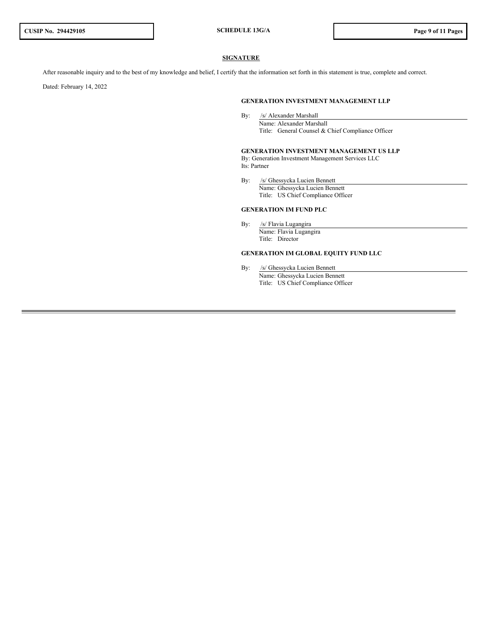# **SIGNATURE**

After reasonable inquiry and to the best of my knowledge and belief, I certify that the information set forth in this statement is true, complete and correct.

Dated: February 14, 2022

### **GENERATION INVESTMENT MANAGEMENT LLP**

By: /s/ Alexander Marshall Name: Alexander Marshall Title: General Counsel & Chief Compliance Officer

**GENERATION INVESTMENT MANAGEMENT US LLP** By: Generation Investment Management Services LLC Its: Partner

By: /s/ Ghessycka Lucien Bennett Name: Ghessycka Lucien Bennett Title: US Chief Compliance Officer

#### **GENERATION IM FUND PLC**

By: /s/ Flavia Lugangira Name: Flavia Lugangira Title: Director

# **GENERATION IM GLOBAL EQUITY FUND LLC**

By: /s/ Ghessycka Lucien Bennett Name: Ghessycka Lucien Bennett Title: US Chief Compliance Officer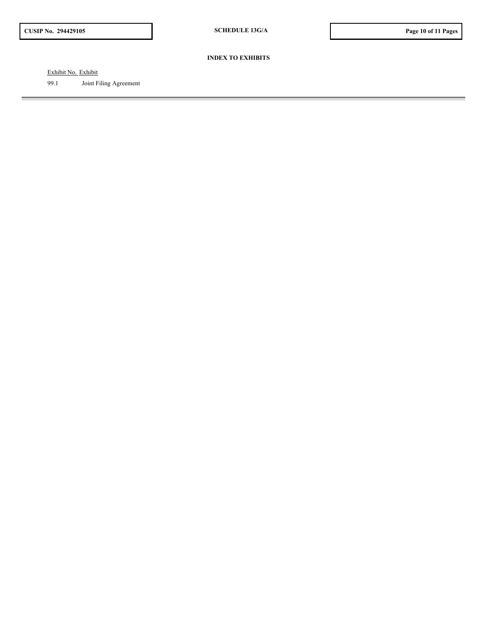# **INDEX TO EXHIBITS**

Exhibit No. Exhibit

99.1 Joint Filing Agreement